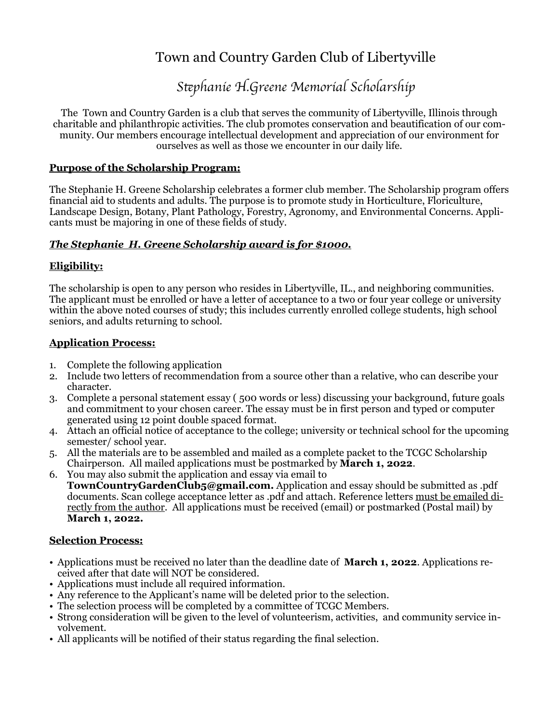## Town and Country Garden Club of Libertyville

# *S*te*phanie H.Greene Memorial Scholarship*

The Town and Country Garden is a club that serves the community of Libertyville, Illinois through charitable and philanthropic activities. The club promotes conservation and beautification of our community. Our members encourage intellectual development and appreciation of our environment for ourselves as well as those we encounter in our daily life.

#### **Purpose of the Scholarship Program:**

The Stephanie H. Greene Scholarship celebrates a former club member. The Scholarship program offers financial aid to students and adults. The purpose is to promote study in Horticulture, Floriculture, Landscape Design, Botany, Plant Pathology, Forestry, Agronomy, and Environmental Concerns. Applicants must be majoring in one of these fields of study.

### *The Stephanie H. Greene Scholarship award is for \$1000.*

### **Eligibility:**

The scholarship is open to any person who resides in Libertyville, IL., and neighboring communities. The applicant must be enrolled or have a letter of acceptance to a two or four year college or university within the above noted courses of study; this includes currently enrolled college students, high school seniors, and adults returning to school.

#### **Application Process:**

- 1. Complete the following application
- 2. Include two letters of recommendation from a source other than a relative, who can describe your character.
- 3. Complete a personal statement essay ( 500 words or less) discussing your background, future goals and commitment to your chosen career. The essay must be in first person and typed or computer generated using 12 point double spaced format.
- 4. Attach an official notice of acceptance to the college; university or technical school for the upcoming semester/ school year.
- 5. All the materials are to be assembled and mailed as a complete packet to the TCGC Scholarship Chairperson. All mailed applications must be postmarked by **March 1, 2022**.
- 6. You may also submit the application and essay via email to **TownCountryGardenClub5@gmail.com.** Application and essay should be submitted as .pdf documents. Scan college acceptance letter as .pdf and attach. Reference letters must be emailed directly from the author. All applications must be received (email) or postmarked (Postal mail) by **March 1, 2022.**

### **Selection Process:**

- Applications must be received no later than the deadline date of **March 1, 2022**. Applications received after that date will NOT be considered.
- Applications must include all required information.
- Any reference to the Applicant's name will be deleted prior to the selection.
- The selection process will be completed by a committee of TCGC Members.
- Strong consideration will be given to the level of volunteerism, activities, and community service involvement.
- All applicants will be notified of their status regarding the final selection.